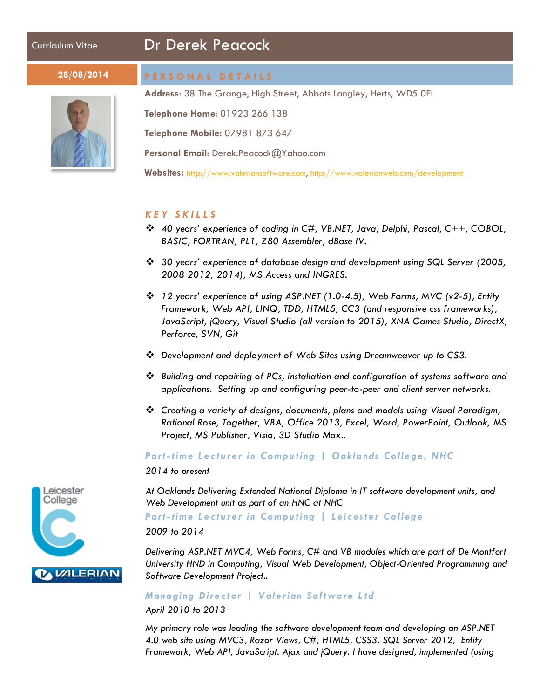# Curriculum Vitae Dr Derek Peacock



#### **28/08/2014 PERSONAL DETAILS**

**Address**: 38 The Grange, High Street, Abbots Langley, Herts, WD5 0EL

**Telephone Home**: 01923 266 138

**Telephone Mobile:** 07981 873 647

**Personal Email**: Derek.Peacock@Yahoo.com

**Websites:** [http://www.valeriansoftware.com,](http://www.valeriansoftware.com/) <http://www.valerianweb.com/development>

#### *KEY SKILLS*

- *40 years' experience of coding in C#, VB.NET, Java, Delphi, Pascal, C++, COBOL, BASIC, FORTRAN, PL1, Z80 Assembler, dBase IV.*
- *30 years' experience of database design and development using SQL Server (2005, 2008 2012, 2014), MS Access and INGRES.*
- *12 years' experience of using ASP.NET (1.0-4.5), Web Forms, MVC (v2-5), Entity Framework, Web API, LINQ, TDD, HTML5, CC3 (and responsive css frameworks), JavaScript, jQuery, Visual Studio (all version to 2015), XNA Games Studio, DirectX, Perforce, SVN, Git*
- *Development and deployment of Web Sites using Dreamweaver up to CS3.*
- *Building and repairing of PCs, installation and configuration of systems software and applications. Setting up and configuring peer-to-peer and client server networks.*
- *Creating a variety of designs, documents, plans and models using Visual Paradigm, Rational Rose, Together, VBA, Office 2013, Excel, Word, PowerPoint, Outlook, MS Project, MS Publisher, Visio, 3D Studio Max..*

*Part-time Lecturer in Computing | Oaklands College, NHC*

*2014 to present*

*At Oaklands Delivering Extended National Diploma in IT software development units, and Web Development unit as part of an HNC at NHC*

#### *Part-time Lecturer in Computing | Leicester College*

*2009 to 2014*

*Delivering ASP.NET MVC4, Web Forms, C# and VB modules which are part of De Montfort University HND in Computing, Visual Web Development, Object-Oriented Programming and Software Development Project..*

#### *Managing Director | Valerian Software Ltd*

#### *April 2010 to 2013*

*My primary role was leading the software development team and developing an ASP.NET 4.0 web site using MVC3, Razor Views, C#, HTML5, CSS3, SQL Server 2012, Entity Framework, Web API, JavaScript. Ajax and jQuery. I have designed, implemented (using* 

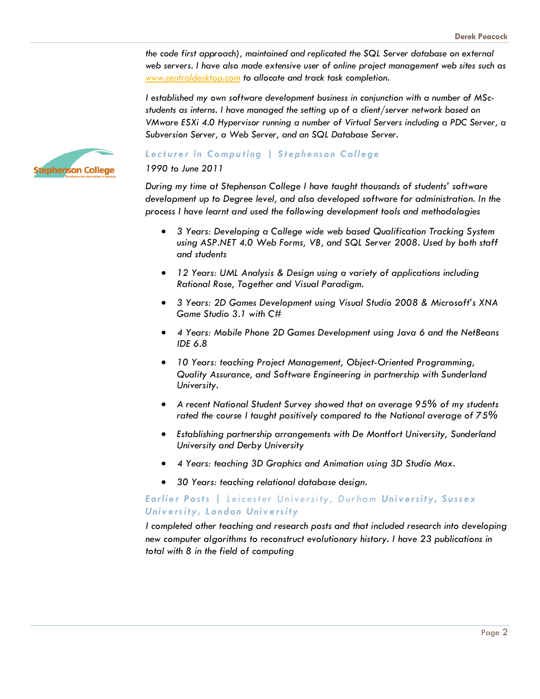*the code first approach), maintained and replicated the SQL Server database on external web servers. I have also made extensive user of online project management web sites such as [www.centraldesktop.com](http://www.centraldesktop.com/) to allocate and track task completion.*

*I established my own software development business in conjunction with a number of MScstudents as interns. I have managed the setting up of a client/server network based on VMware ESXi 4.0 Hypervisor running a number of Virtual Servers including a PDC Server, a Subversion Server, a Web Server, and an SQL Database Server.*



#### *Lecturer in Computing | Stephenson College*

*1990 to June 2011*

*During my time at Stephenson College I have taught thousands of students' software development up to Degree level, and also developed software for administration. In the process I have learnt and used the following development tools and methodologies*

- *3 Years: Developing a College wide web based Qualification Tracking System using ASP.NET 4.0 Web Forms, VB, and SQL Server 2008. Used by both staff and students*
- *12 Years: UML Analysis & Design using a variety of applications including Rational Rose, Together and Visual Paradigm.*
- *3 Years: 2D Games Development using Visual Studio 2008 & Microsoft's XNA Game Studio 3.1 with C#*
- *4 Years: Mobile Phone 2D Games Development using Java 6 and the NetBeans IDE 6.8*
- *10 Years: teaching Project Management, Object-Oriented Programming, Quality Assurance, and Software Engineering in partnership with Sunderland University.*
- *A recent National Student Survey showed that on average 95% of my students rated the course I taught positively compared to the National average of 75%*
- *Establishing partnership arrangements with De Montfort University, Sunderland University and Derby University*
- *4 Years: teaching 3D Graphics and Animation using 3D Studio Max.*
- *30 Years: teaching relational database design.*

#### *Earlier Posts | Leicester University, Durham University, Sussex University , London University*

*I completed other teaching and research posts and that included research into developing new computer algorithms to reconstruct evolutionary history. I have 23 publications in total with 8 in the field of computing*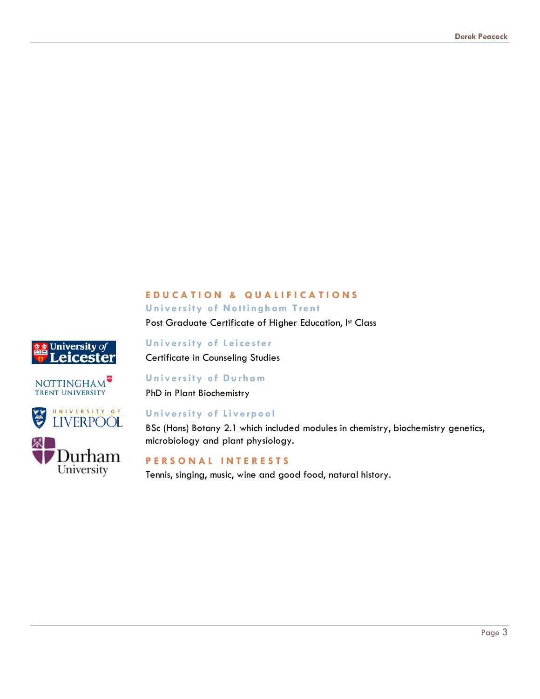# **EDUCATION & QUALIFICATIONS University of Nottingham Trent**

Post Graduate Certificate of Higher Education, Ist Class









## **University of Leicester** Certificate in Counseling Studies

#### **University of Durham**

PhD in Plant Biochemistry

# **University of Liverpool**

BSc (Hons) Botany 2.1 which included modules in chemistry, biochemistry genetics, microbiology and plant physiology.

#### **PERSONAL INTERESTS**

Tennis, singing, music, wine and good food, natural history.